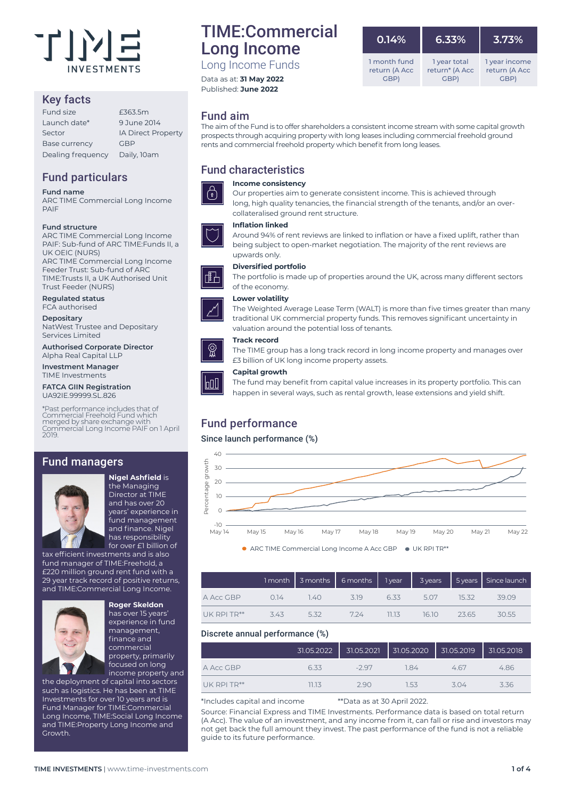

# Key facts

| Fund size            | £363.5m                   |
|----------------------|---------------------------|
| Launch date*         | 9.June 2014               |
| Sector               | <b>IA Direct Property</b> |
| <b>Base currency</b> | GBP                       |
| Dealing frequency    | Daily, 10am               |
|                      |                           |

# Fund particulars

### **Fund name**

ARC TIME Commercial Long Income PAIF

### **Fund structure**

ARC TIME Commercial Long Income PAIF: Sub-fund of ARC TIME:Funds II, a UK OEIC (NURS) ARC TIME Commercial Long Income Feeder Trust: Sub-fund of ARC TIME:Trusts II, a UK Authorised Unit Trust Feeder (NURS)

**Regulated status**

FCA authorised

**Depositary** NatWest Trustee and Depositary Services Limited

**Authorised Corporate Director** Alpha Real Capital LLP

**Investment Manager** TIME Investments

**FATCA GIIN Registration** UA92IE.99999.SL.826

\*Past performance includes that of Commercial Freehold Fund which merged by share exchange with Commercial Long Income PAIF on 1 April

# Fund managers



**Nigel Ashfield** is the Managing Director at TIME and has over 20 years' experience in fund management and finance. Nigel has responsibility for over £1 billion of

tax efficient investments and is also fund manager of TIME:Freehold, a £220 million ground rent fund with a 29 year track record of positive returns, and TIME:Commercial Long Income.



**Roger Skeldon**  has over 15 years' experience in fund management, finance and commercial property, primarily focused on long income property and

the deployment of capital into sectors such as logistics. He has been at TIME Investments for over 10 years and is Fund Manager for TIME:Commercial Long Income, TIME:Social Long Income and TIME:Property Long Income and Growth.

# TIME:Commercial Long Income Long Income Funds

Data as at: **31 May 2022** Published: **June 2022**

# Fund aim

The aim of the Fund is to offer shareholders a consistent income stream with some capital growth prospects through acquiring property with long leases including commercial freehold ground rents and commercial freehold property which benefit from long leases.

# Fund characteristics

### **Income consistency**  $\bigcap$

Our properties aim to generate consistent income. This is achieved through long, high quality tenancies, the financial strength of the tenants, and/or an overcollateralised ground rent structure.

The portfolio is made up of properties around the UK, across many different sectors

traditional UK commercial property funds. This removes significant uncertainty in

### **Inflation linked** Around 94% of rent reviews are linked to inflation or have a fixed uplift, rather than



### being subject to open-market negotiation. The majority of the rent reviews are upwards only.

### **Diversified portfolio**

of the economy.

valuation around the potential loss of tenants.



### **Track record**

The TIME group has a long track record in long income property and manages over £3 billion of UK long income property assets.

### **Capital growth**



The fund may benefit from capital value increases in its property portfolio. This can happen in several ways, such as rental growth, lease extensions and yield shift.

# Fund performance

### Since launch performance (%)



 $\bullet$  ARC TIME Commercial Long Income A Acc GBP  $\bullet$  UK RPI TR\*\*

|                  |     |      |                                |          |             | 1 month $\begin{array}{ c c c c c }\hline {\scriptstyle 3\text{ months}} & {\scriptstyle 6\text{ months}} & {\scriptstyle 1\text{ year}} & {\scriptstyle 3\text{ years}} & {\scriptstyle 5\text{ years}} & {\scriptstyle 5\text{ since launch}}\hline \end{array}$ |
|------------------|-----|------|--------------------------------|----------|-------------|--------------------------------------------------------------------------------------------------------------------------------------------------------------------------------------------------------------------------------------------------------------------|
| A Acc GBP        |     |      | 0.14 1.40 3.19 6.33 5.07 15.32 |          |             | 39.09                                                                                                                                                                                                                                                              |
| $UK$ RPI TR $**$ | 343 | 5.32 | 724                            | $-11.13$ | 16.10 23.65 | 30.55                                                                                                                                                                                                                                                              |

### Discrete annual performance (%)

|               | 31.05.2022 | 31.05.2021 | 31.05.2020 | 131.05.2019 | 31.05.2018 |
|---------------|------------|------------|------------|-------------|------------|
| A Acc GBP     | 633        | -297       | 184        | 4.67        | 4.86       |
| $UK$ RPI TR** | 11.13      | 290        | 153        | 3.04        | 3.36       |

\*Includes capital and income \*\*Data as at 30 April 2022.

Source: Financial Express and TIME Investments. Performance data is based on total return (A Acc). The value of an investment, and any income from it, can fall or rise and investors may not get back the full amount they invest. The past performance of the fund is not a reliable guide to its future performance

| 0.14%         | 6.33%          | 3.73%         |
|---------------|----------------|---------------|
| 1 month fund  | 1 year total   | 1 year income |
| return (A Acc | return* (A Acc | return (A Acc |
| <b>GBP</b>    | GBP)           | GBP)          |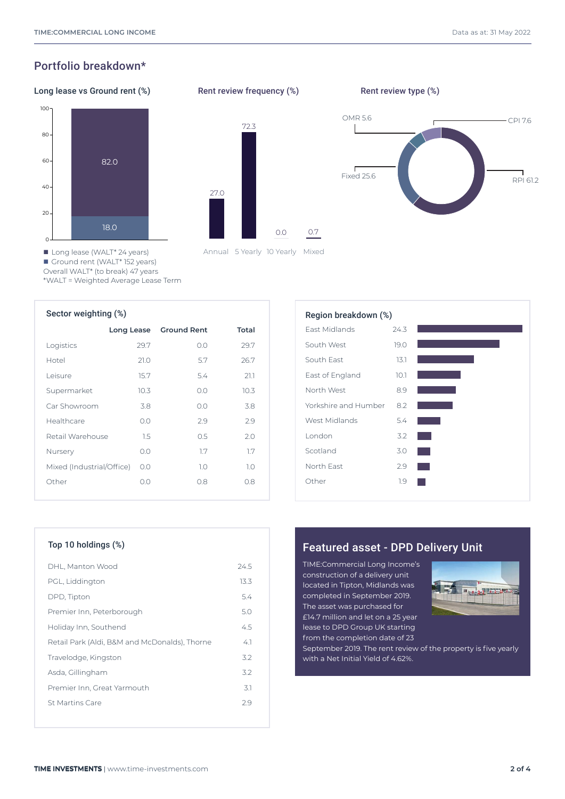# Portfolio breakdown\*

### Long lease vs Ground rent (%) Rent review frequency (%) Rent review type (%)



27.0 72.3

Annual 5 Yearly 10 Yearly Mixed

0.0 0.7

Rent review frequency (%)



■ Long lease (WALT<sup>\*</sup> 24 years) ■ Ground rent (WALT<sup>\*</sup> 152 years)

Overall WALT\* (to break) 47 years

\*WALT = Weighted Average Lease Term

| Sector weighting (%)      |            |                    |       | Region breakdown (%) |  |
|---------------------------|------------|--------------------|-------|----------------------|--|
|                           | Long Lease | <b>Ground Rent</b> | Total | <b>Fast Midlands</b> |  |
| Logistics                 | 29.7       | 0.0                | 29.7  | South West           |  |
| Hotel                     | 21.0       | 5.7                | 26.7  | South East           |  |
| Leisure                   | 15.7       | 5.4                | 21.1  | East of England      |  |
| Supermarket               | 10.3       | O.O                | 10.3  | North West           |  |
| Car Showroom              | 3.8        | O.O                | 3.8   | Yorkshire and Humber |  |
| Healthcare                | 0.0        | 2.9                | 2.9   | West Midlands        |  |
| Retail Warehouse          | 1.5        | 0.5                | 2.0   | London               |  |
| Nursery                   | 0.0        | 1.7                | 1.7   | Scotland             |  |
| Mixed (Industrial/Office) | 0.0        | 1.0                | 1.0   | North East           |  |
| Other                     | O.O        | 0.8                | 0.8   | Other                |  |
|                           |            |                    |       |                      |  |

| Region breakdown (%) |      |  |
|----------------------|------|--|
| <b>Fast Midlands</b> | 24.3 |  |
| South West           | 19.0 |  |
| South Fast           | 13.1 |  |
| East of England      | 10.1 |  |
| North West           | 8.9  |  |
| Yorkshire and Humber | 8.2  |  |
| West Midlands        | 5.4  |  |
| London               | 3.2  |  |
| Scotland             | 3.0  |  |
| North Fast           | 2.9  |  |
| Other                | 1.9  |  |
|                      |      |  |

| DHL, Manton Wood                              | 24.5   |
|-----------------------------------------------|--------|
| PGL, Liddington                               | 13.3   |
| DPD, Tipton                                   | 5.4    |
| Premier Inn, Peterborough                     | 5.0    |
| Holiday Inn, Southend                         | 4.5    |
| Retail Park (Aldi, B&M and McDonalds), Thorne | $-4.1$ |
| Travelodge, Kingston                          | 3.2    |
| Asda, Gillingham                              | 32     |
| Premier Inn, Great Yarmouth                   | 3.1    |
| St Martins Care                               | 29     |
|                                               |        |

# Top 10 holdings (%) Top 10 holdings (%) and Top 10 holdings (%)

TIME:Commercial Long Income's construction of a delivery unit located in Tipton, Midlands was completed in September 2019. The asset was purchased for £14.7 million and let on a 25 year lease to DPD Group UK starting from the completion date of 23



September 2019. The rent review of the property is five yearly with a Net Initial Yield of 4.62%.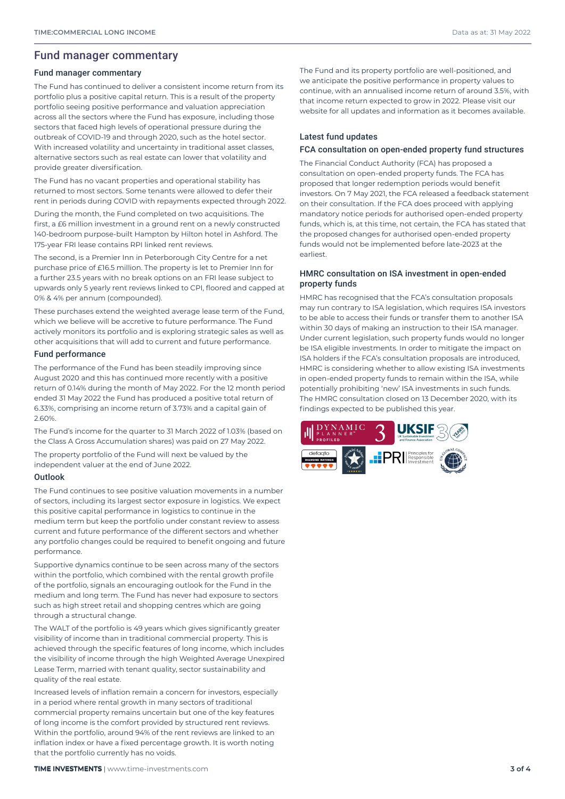# Fund manager commentary

### Fund manager commentary

The Fund has continued to deliver a consistent income return from its portfolio plus a positive capital return. This is a result of the property portfolio seeing positive performance and valuation appreciation across all the sectors where the Fund has exposure, including those sectors that faced high levels of operational pressure during the outbreak of COVID-19 and through 2020, such as the hotel sector. With increased volatility and uncertainty in traditional asset classes, alternative sectors such as real estate can lower that volatility and provide greater diversification.

The Fund has no vacant properties and operational stability has returned to most sectors. Some tenants were allowed to defer their rent in periods during COVID with repayments expected through 2022.

During the month, the Fund completed on two acquisitions. The first, a £6 million investment in a ground rent on a newly constructed 140-bedroom purpose-built Hampton by Hilton hotel in Ashford. The 175-year FRI lease contains RPI linked rent reviews.

The second, is a Premier Inn in Peterborough City Centre for a net purchase price of £16.5 million. The property is let to Premier Inn for a further 23.5 years with no break options on an FRI lease subject to upwards only 5 yearly rent reviews linked to CPI, floored and capped at 0% & 4% per annum (compounded).

These purchases extend the weighted average lease term of the Fund, which we believe will be accretive to future performance. The Fund actively monitors its portfolio and is exploring strategic sales as well as other acquisitions that will add to current and future performance.

### Fund performance

The performance of the Fund has been steadily improving since August 2020 and this has continued more recently with a positive return of 0.14% during the month of May 2022. For the 12 month period ended 31 May 2022 the Fund has produced a positive total return of 6.33%, comprising an income return of 3.73% and a capital gain of 2.60%.

The Fund's income for the quarter to 31 March 2022 of 1.03% (based on the Class A Gross Accumulation shares) was paid on 27 May 2022.

The property portfolio of the Fund will next be valued by the independent valuer at the end of June 2022.

### **Outlook**

The Fund continues to see positive valuation movements in a number of sectors, including its largest sector exposure in logistics. We expect this positive capital performance in logistics to continue in the medium term but keep the portfolio under constant review to assess current and future performance of the different sectors and whether any portfolio changes could be required to benefit ongoing and future performance.

Supportive dynamics continue to be seen across many of the sectors within the portfolio, which combined with the rental growth profile of the portfolio, signals an encouraging outlook for the Fund in the medium and long term. The Fund has never had exposure to sectors such as high street retail and shopping centres which are going through a structural change.

The WALT of the portfolio is 49 years which gives significantly greater visibility of income than in traditional commercial property. This is achieved through the specific features of long income, which includes the visibility of income through the high Weighted Average Unexpired Lease Term, married with tenant quality, sector sustainability and quality of the real estate.

Increased levels of inflation remain a concern for investors, especially in a period where rental growth in many sectors of traditional commercial property remains uncertain but one of the key features of long income is the comfort provided by structured rent reviews. Within the portfolio, around 94% of the rent reviews are linked to an inflation index or have a fixed percentage growth. It is worth noting that the portfolio currently has no voids.

The Fund and its property portfolio are well-positioned, and we anticipate the positive performance in property values to continue, with an annualised income return of around 3.5%, with that income return expected to grow in 2022. Please visit our website for all updates and information as it becomes available.

### Latest fund updates

### FCA consultation on open-ended property fund structures

The Financial Conduct Authority (FCA) has proposed a consultation on open-ended property funds. The FCA has proposed that longer redemption periods would benefit investors. On 7 May 2021, the FCA released a feedback statement on their consultation. If the FCA does proceed with applying mandatory notice periods for authorised open-ended property funds, which is, at this time, not certain, the FCA has stated that the proposed changes for authorised open-ended property funds would not be implemented before late-2023 at the earliest.

### HMRC consultation on ISA investment in open-ended property funds

HMRC has recognised that the FCA's consultation proposals may run contrary to ISA legislation, which requires ISA investors to be able to access their funds or transfer them to another ISA within 30 days of making an instruction to their ISA manager. Under current legislation, such property funds would no longer be ISA eligible investments. In order to mitigate the impact on ISA holders if the FCA's consultation proposals are introduced, HMRC is considering whether to allow existing ISA investments in open-ended property funds to remain within the ISA, while potentially prohibiting 'new' ISA investments in such funds. The HMRC consultation closed on 13 December 2020, with its findings expected to be published this year.